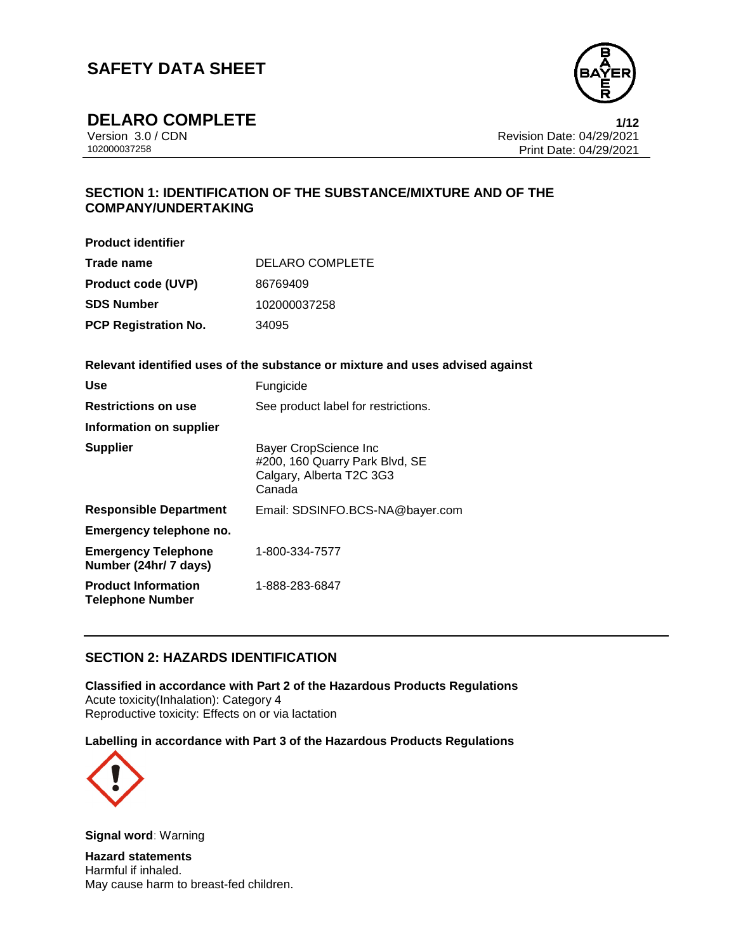

**DELARO COMPLETE**<br>Version 3.0/CDN

Version 3.0 / CDN<br>102000037258 Print Date: 04/29/2021<br>Print Date: 04/29/2021 Print Date: 04/29/2021  $1/12$ 

### **SECTION 1: IDENTIFICATION OF THE SUBSTANCE/MIXTURE AND OF THE COMPANY/UNDERTAKING**

**Product identifier**

| Trade name                  | <b>DELARO COMPLETE</b> |
|-----------------------------|------------------------|
| <b>Product code (UVP)</b>   | 86769409               |
| <b>SDS Number</b>           | 102000037258           |
| <b>PCP Registration No.</b> | 34095                  |

**Relevant identified uses of the substance or mixture and uses advised against**

| <b>Use</b>                                            | Fungicide                                                                                     |
|-------------------------------------------------------|-----------------------------------------------------------------------------------------------|
| <b>Restrictions on use</b>                            | See product label for restrictions.                                                           |
| Information on supplier                               |                                                                                               |
| <b>Supplier</b>                                       | Bayer CropScience Inc<br>#200, 160 Quarry Park Blvd, SE<br>Calgary, Alberta T2C 3G3<br>Canada |
| <b>Responsible Department</b>                         | Email: SDSINFO.BCS-NA@bayer.com                                                               |
| Emergency telephone no.                               |                                                                                               |
| <b>Emergency Telephone</b><br>Number (24hr/ 7 days)   | 1-800-334-7577                                                                                |
| <b>Product Information</b><br><b>Telephone Number</b> | 1-888-283-6847                                                                                |

### **SECTION 2: HAZARDS IDENTIFICATION**

**Classified in accordance with Part 2 of the Hazardous Products Regulations** Acute toxicity(Inhalation): Category 4 Reproductive toxicity: Effects on or via lactation

**Labelling in accordance with Part 3 of the Hazardous Products Regulations**



**Signal word**: Warning

**Hazard statements** Harmful if inhaled. May cause harm to breast-fed children.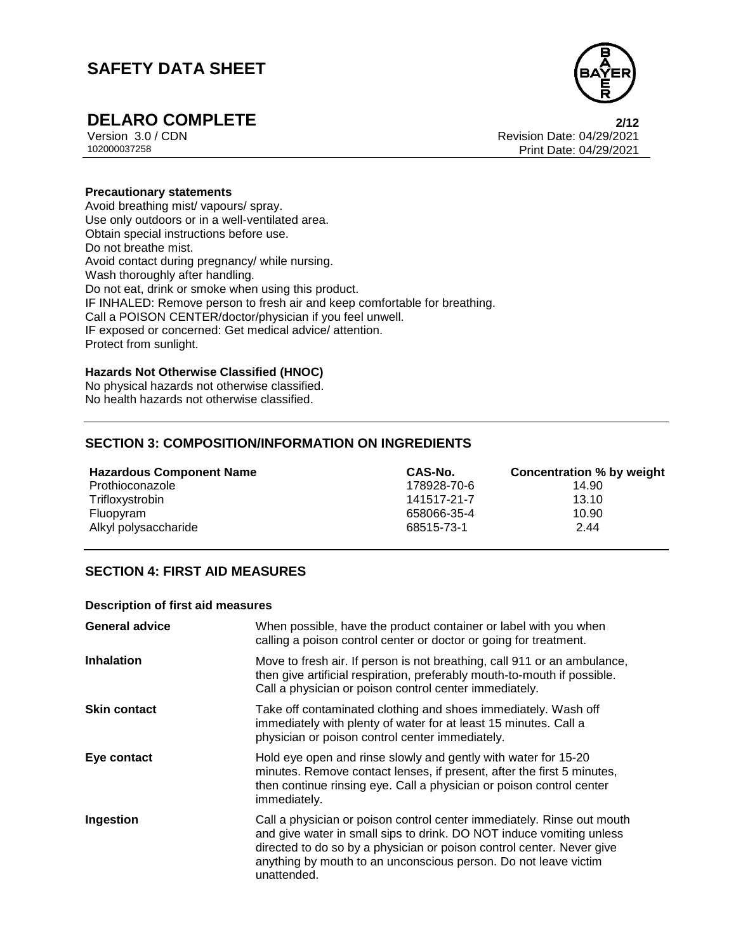

**DELARO COMPLETE**<br>Version 3.0 / CDN<br>Revision Date: 04/29/2021 Version 3.0 / CDN<br>102000037258 Print Date: 04/29/2021<br>Print Date: 04/29/2021 Print Date: 04/29/2021

### **Precautionary statements**

Avoid breathing mist/ vapours/ spray. Use only outdoors or in a well-ventilated area. Obtain special instructions before use. Do not breathe mist. Avoid contact during pregnancy/ while nursing. Wash thoroughly after handling. Do not eat, drink or smoke when using this product. IF INHALED: Remove person to fresh air and keep comfortable for breathing. Call a POISON CENTER/doctor/physician if you feel unwell. IF exposed or concerned: Get medical advice/ attention. Protect from sunlight.

### **Hazards Not Otherwise Classified (HNOC)**

No physical hazards not otherwise classified. No health hazards not otherwise classified.

### **SECTION 3: COMPOSITION/INFORMATION ON INGREDIENTS**

| <b>Hazardous Component Name</b> | CAS-No.     | Concentration % by weight |
|---------------------------------|-------------|---------------------------|
| Prothioconazole                 | 178928-70-6 | 14.90                     |
| Trifloxystrobin                 | 141517-21-7 | 13.10                     |
| Fluopyram                       | 658066-35-4 | 10.90                     |
| Alkyl polysaccharide            | 68515-73-1  | 2.44                      |

### **SECTION 4: FIRST AID MEASURES**

#### **Description of first aid measures**

| <b>General advice</b> | When possible, have the product container or label with you when<br>calling a poison control center or doctor or going for treatment.                                                                                                                                                                     |
|-----------------------|-----------------------------------------------------------------------------------------------------------------------------------------------------------------------------------------------------------------------------------------------------------------------------------------------------------|
| <b>Inhalation</b>     | Move to fresh air. If person is not breathing, call 911 or an ambulance,<br>then give artificial respiration, preferably mouth-to-mouth if possible.<br>Call a physician or poison control center immediately.                                                                                            |
| <b>Skin contact</b>   | Take off contaminated clothing and shoes immediately. Wash off<br>immediately with plenty of water for at least 15 minutes. Call a<br>physician or poison control center immediately.                                                                                                                     |
| Eye contact           | Hold eye open and rinse slowly and gently with water for 15-20<br>minutes. Remove contact lenses, if present, after the first 5 minutes,<br>then continue rinsing eye. Call a physician or poison control center<br>immediately.                                                                          |
| Ingestion             | Call a physician or poison control center immediately. Rinse out mouth<br>and give water in small sips to drink. DO NOT induce vomiting unless<br>directed to do so by a physician or poison control center. Never give<br>anything by mouth to an unconscious person. Do not leave victim<br>unattended. |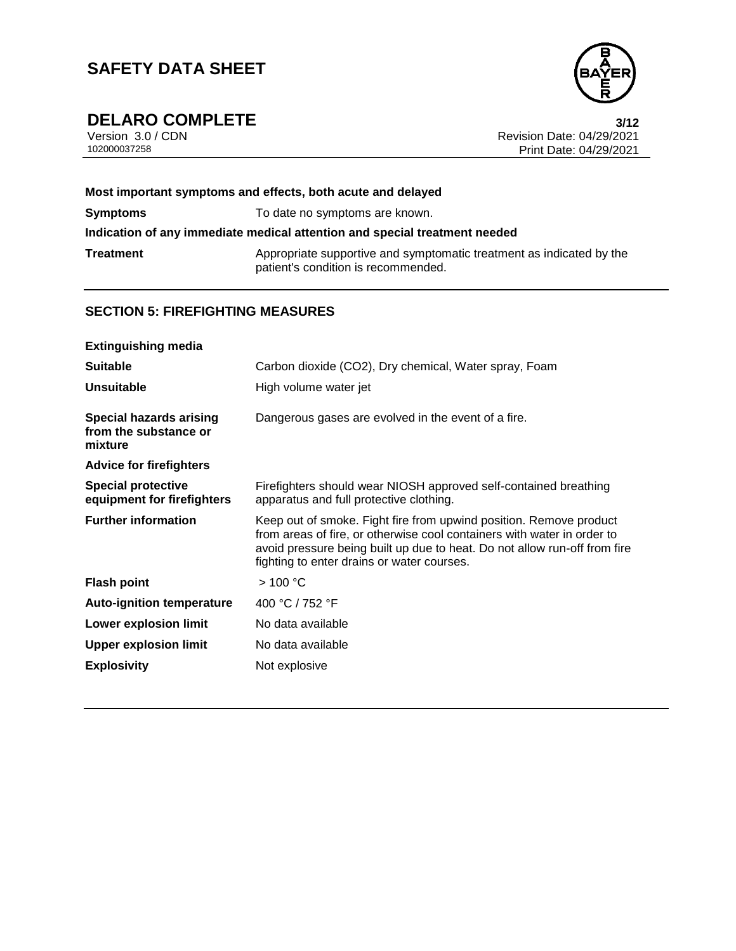

# **DELARO COMPLETE**<br>Version 3.0/CDN

Version 3.0 / CDN<br>102000037258 Print Date: 04/29/2021<br>Print Date: 04/29/2021 Print Date: 04/29/2021  $3/12$ 

| Most important symptoms and effects, both acute and delayed |                                                                                                             |  |
|-------------------------------------------------------------|-------------------------------------------------------------------------------------------------------------|--|
| <b>Symptoms</b>                                             | To date no symptoms are known.                                                                              |  |
|                                                             | Indication of any immediate medical attention and special treatment needed                                  |  |
| Treatment                                                   | Appropriate supportive and symptomatic treatment as indicated by the<br>patient's condition is recommended. |  |

### **SECTION 5: FIREFIGHTING MEASURES**

| <b>Extinguishing media</b>                                         |                                                                                                                                                                                                                                                                          |
|--------------------------------------------------------------------|--------------------------------------------------------------------------------------------------------------------------------------------------------------------------------------------------------------------------------------------------------------------------|
| <b>Suitable</b>                                                    | Carbon dioxide (CO2), Dry chemical, Water spray, Foam                                                                                                                                                                                                                    |
| <b>Unsuitable</b>                                                  | High volume water jet                                                                                                                                                                                                                                                    |
| <b>Special hazards arising</b><br>from the substance or<br>mixture | Dangerous gases are evolved in the event of a fire.                                                                                                                                                                                                                      |
| <b>Advice for firefighters</b>                                     |                                                                                                                                                                                                                                                                          |
| <b>Special protective</b><br>equipment for firefighters            | Firefighters should wear NIOSH approved self-contained breathing<br>apparatus and full protective clothing.                                                                                                                                                              |
| <b>Further information</b>                                         | Keep out of smoke. Fight fire from upwind position. Remove product<br>from areas of fire, or otherwise cool containers with water in order to<br>avoid pressure being built up due to heat. Do not allow run-off from fire<br>fighting to enter drains or water courses. |
| <b>Flash point</b>                                                 | >100 °C                                                                                                                                                                                                                                                                  |
| <b>Auto-ignition temperature</b>                                   | 400 °C / 752 °F                                                                                                                                                                                                                                                          |
| <b>Lower explosion limit</b>                                       | No data available                                                                                                                                                                                                                                                        |
| <b>Upper explosion limit</b>                                       | No data available                                                                                                                                                                                                                                                        |
| <b>Explosivity</b>                                                 | Not explosive                                                                                                                                                                                                                                                            |
|                                                                    |                                                                                                                                                                                                                                                                          |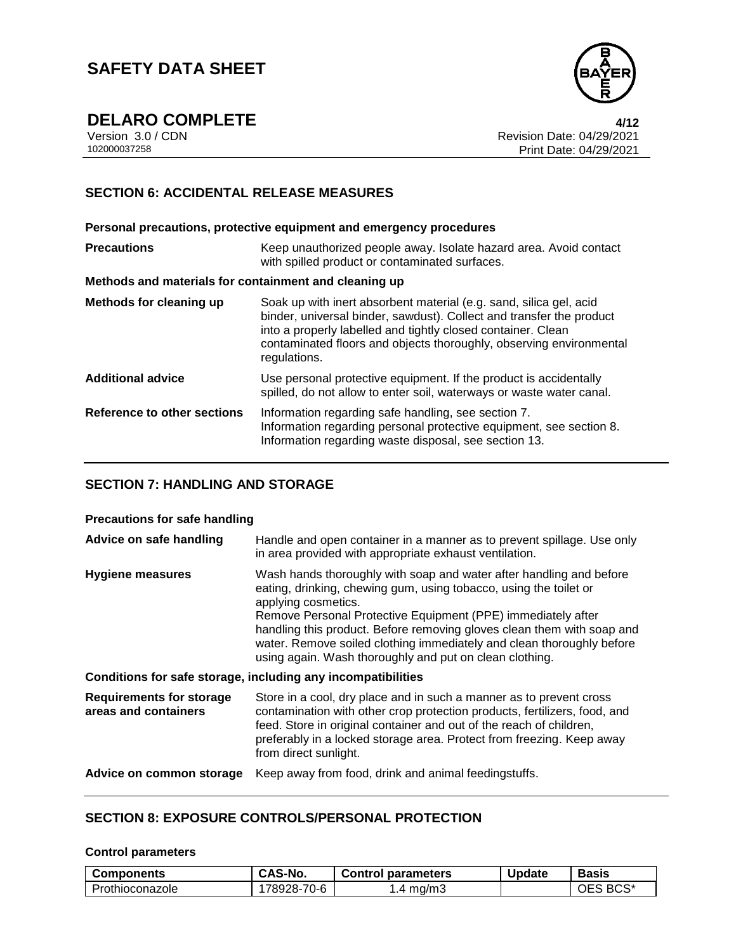

**DELARO COMPLETE**<br>Version 3.0/CDN

Version 3.0 / CDN<br>102000037258 Print Date: 04/29/2021<br>102000037258 Print Date: 04/29/2021 Print Date: 04/29/2021 Page 4/12

### **SECTION 6: ACCIDENTAL RELEASE MEASURES**

**Personal precautions, protective equipment and emergency procedures Precautions Keep unauthorized people away. Isolate hazard area. Avoid contact** with spilled product or contaminated surfaces. **Methods and materials for containment and cleaning up Methods for cleaning up** Soak up with inert absorbent material (e.g. sand, silica gel, acid binder, universal binder, sawdust). Collect and transfer the product into a properly labelled and tightly closed container. Clean contaminated floors and objects thoroughly, observing environmental regulations. **Additional advice** Use personal protective equipment. If the product is accidentally spilled, do not allow to enter soil, waterways or waste water canal. **Reference to other sections** Information regarding safe handling, see section 7. Information regarding personal protective equipment, see section 8. Information regarding waste disposal, see section 13.

### **SECTION 7: HANDLING AND STORAGE**

### **Precautions for safe handling**

| Advice on safe handling                                 | Handle and open container in a manner as to prevent spillage. Use only<br>in area provided with appropriate exhaust ventilation.                                                                                                                                                                                                                                                                                                              |
|---------------------------------------------------------|-----------------------------------------------------------------------------------------------------------------------------------------------------------------------------------------------------------------------------------------------------------------------------------------------------------------------------------------------------------------------------------------------------------------------------------------------|
| Hygiene measures                                        | Wash hands thoroughly with soap and water after handling and before<br>eating, drinking, chewing gum, using tobacco, using the toilet or<br>applying cosmetics.<br>Remove Personal Protective Equipment (PPE) immediately after<br>handling this product. Before removing gloves clean them with soap and<br>water. Remove soiled clothing immediately and clean thoroughly before<br>using again. Wash thoroughly and put on clean clothing. |
|                                                         | Conditions for safe storage, including any incompatibilities                                                                                                                                                                                                                                                                                                                                                                                  |
| <b>Requirements for storage</b><br>areas and containers | Store in a cool, dry place and in such a manner as to prevent cross<br>contamination with other crop protection products, fertilizers, food, and<br>feed. Store in original container and out of the reach of children,<br>preferably in a locked storage area. Protect from freezing. Keep away<br>from direct sunlight.                                                                                                                     |
| Advice on common storage                                | Keep away from food, drink and animal feedingstuffs.                                                                                                                                                                                                                                                                                                                                                                                          |

### **SECTION 8: EXPOSURE CONTROLS/PERSONAL PROTECTION**

#### **Control parameters**

| Components      | CAS-No.    | <b>Control parameters</b> | <b>Update</b> | <b>Basis</b> |
|-----------------|------------|---------------------------|---------------|--------------|
| Prothioconazole | 78928-70-6 | ma/m3<br>4                |               | BCS*<br>ОE   |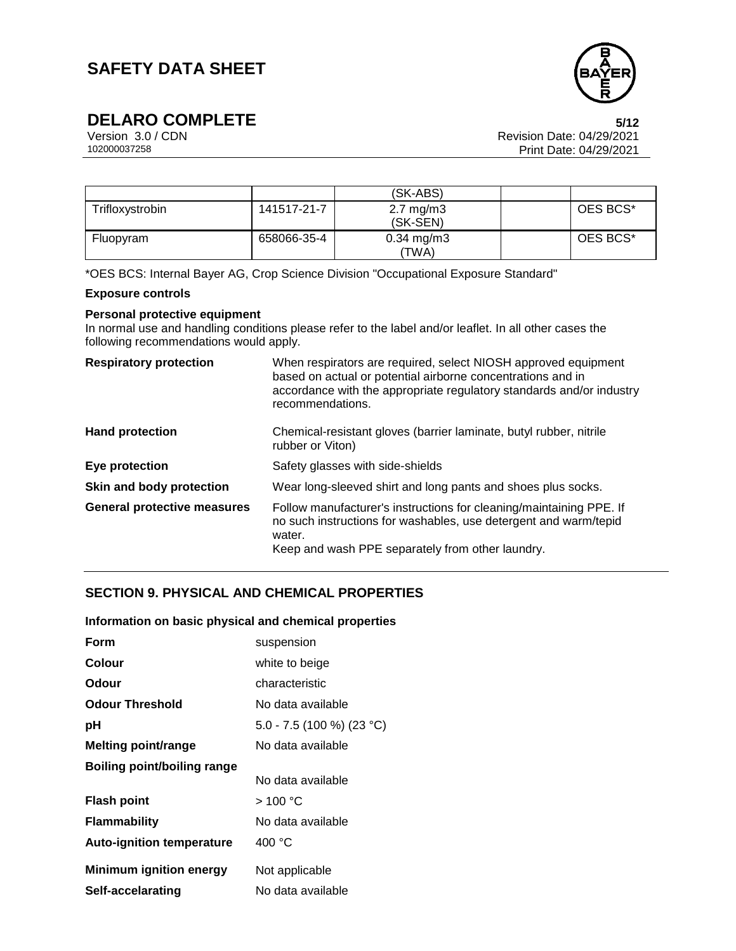

## **DELARO COMPLETE**<br>Version 3.0/CDN

Version 3.0 / CDN Revision Date: 04/29/2021 Print Date: 04/29/2021  $5/12$ 

|                 |             | (SK-ABS)                         |          |
|-----------------|-------------|----------------------------------|----------|
| Trifloxystrobin | 141517-21-7 | $2.7 \text{ mg/m}$ 3<br>(SK-SEN) | OES BCS* |
| Fluopyram       | 658066-35-4 | $0.34 \; mg/m3$<br>(TWA)         | OES BCS* |

\*OES BCS: Internal Bayer AG, Crop Science Division "Occupational Exposure Standard"

### **Exposure controls**

### **Personal protective equipment**

In normal use and handling conditions please refer to the label and/or leaflet. In all other cases the following recommendations would apply.

| <b>Respiratory protection</b>      | When respirators are required, select NIOSH approved equipment<br>based on actual or potential airborne concentrations and in<br>accordance with the appropriate regulatory standards and/or industry<br>recommendations. |
|------------------------------------|---------------------------------------------------------------------------------------------------------------------------------------------------------------------------------------------------------------------------|
| <b>Hand protection</b>             | Chemical-resistant gloves (barrier laminate, butyl rubber, nitrile<br>rubber or Viton)                                                                                                                                    |
| Eye protection                     | Safety glasses with side-shields                                                                                                                                                                                          |
| Skin and body protection           | Wear long-sleeved shirt and long pants and shoes plus socks.                                                                                                                                                              |
| <b>General protective measures</b> | Follow manufacturer's instructions for cleaning/maintaining PPE. If<br>no such instructions for washables, use detergent and warm/tepid<br>water.<br>Keep and wash PPE separately from other laundry.                     |

### **SECTION 9. PHYSICAL AND CHEMICAL PROPERTIES**

#### **Information on basic physical and chemical properties**

| Form                               | suspension                |
|------------------------------------|---------------------------|
| Colour                             | white to beige            |
| Odour                              | characteristic            |
| <b>Odour Threshold</b>             | No data available         |
| рH                                 | 5.0 - 7.5 (100 %) (23 °C) |
| <b>Melting point/range</b>         | No data available         |
| <b>Boiling point/boiling range</b> |                           |
|                                    | No data available         |
| <b>Flash point</b>                 | >100 °C                   |
| <b>Flammability</b>                | No data available         |
| <b>Auto-ignition temperature</b>   | 400 °C                    |
| <b>Minimum ignition energy</b>     | Not applicable            |
| Self-accelarating                  | No data available         |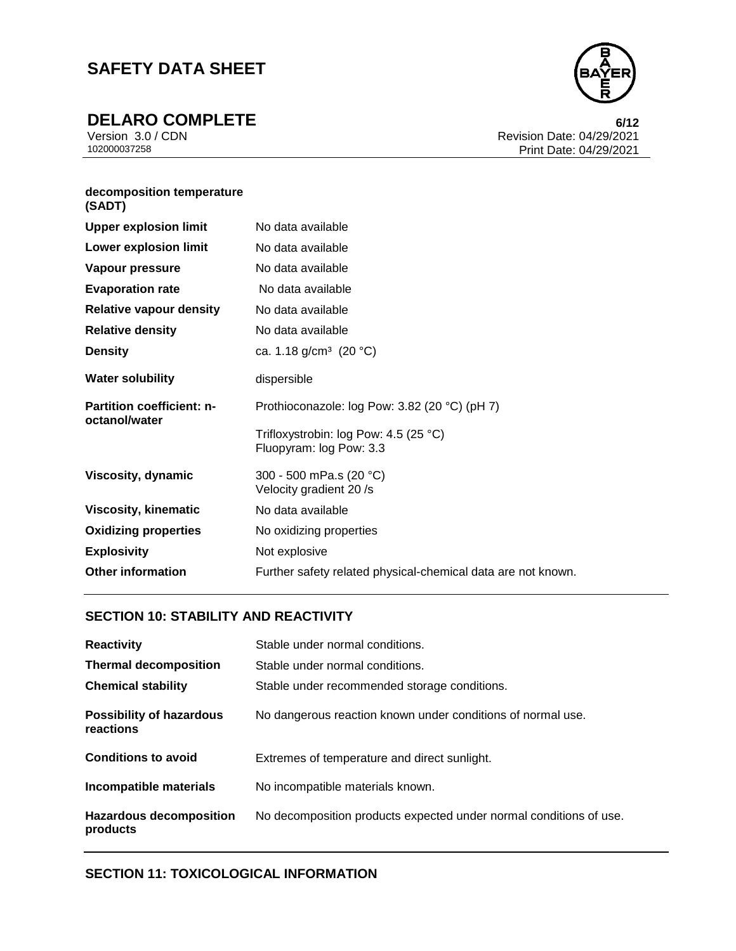**DELARO COMPLETE**<br>Version 3.0/CDN



Version 3.0 / CDN<br>102000037258 Print Date: 04/29/2021<br>Print Date: 04/29/2021 Print Date: 04/29/2021 6/12

### **decomposition temperature**  <strong>Upper explosion limit</strong> No data available **(SADT)**

| <b>Upper explosion limit</b>                      | No data available                                                |
|---------------------------------------------------|------------------------------------------------------------------|
| <b>Lower explosion limit</b>                      | No data available                                                |
| Vapour pressure                                   | No data available                                                |
| <b>Evaporation rate</b>                           | No data available                                                |
| <b>Relative vapour density</b>                    | No data available                                                |
| <b>Relative density</b>                           | No data available                                                |
| <b>Density</b>                                    | ca. 1.18 g/cm <sup>3</sup> (20 °C)                               |
| <b>Water solubility</b>                           | dispersible                                                      |
| <b>Partition coefficient: n-</b><br>octanol/water | Prothioconazole: log Pow: 3.82 (20 °C) (pH 7)                    |
|                                                   | Trifloxystrobin: log Pow: 4.5 (25 °C)<br>Fluopyram: log Pow: 3.3 |
| Viscosity, dynamic                                | 300 - 500 mPa.s (20 °C)<br>Velocity gradient 20 /s               |
| <b>Viscosity, kinematic</b>                       | No data available                                                |
| <b>Oxidizing properties</b>                       | No oxidizing properties                                          |
| <b>Explosivity</b>                                | Not explosive                                                    |
| <b>Other information</b>                          | Further safety related physical-chemical data are not known.     |

### **SECTION 10: STABILITY AND REACTIVITY**

| <b>Reactivity</b>                            | Stable under normal conditions.                                    |
|----------------------------------------------|--------------------------------------------------------------------|
| <b>Thermal decomposition</b>                 | Stable under normal conditions.                                    |
| <b>Chemical stability</b>                    | Stable under recommended storage conditions.                       |
| <b>Possibility of hazardous</b><br>reactions | No dangerous reaction known under conditions of normal use.        |
| <b>Conditions to avoid</b>                   | Extremes of temperature and direct sunlight.                       |
| Incompatible materials                       | No incompatible materials known.                                   |
| <b>Hazardous decomposition</b><br>products   | No decomposition products expected under normal conditions of use. |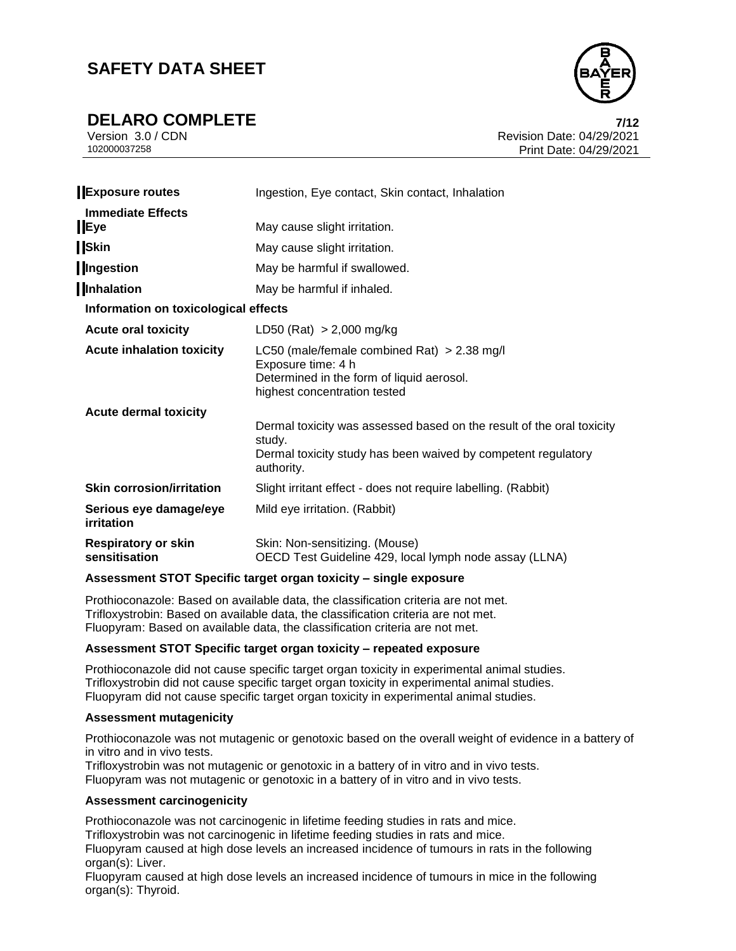**DELARO COMPLETE 7/12**



Version 3.0 / CDN Revision Date: 04/29/2021 102000037258 Print Date: 04/29/2021 7/12

| <b>Exposure routes</b>                      | Ingestion, Eye contact, Skin contact, Inhalation                                                                                                               |
|---------------------------------------------|----------------------------------------------------------------------------------------------------------------------------------------------------------------|
| <b>Immediate Effects</b><br>Eye             | May cause slight irritation.                                                                                                                                   |
| <b>Skin</b>                                 | May cause slight irritation.                                                                                                                                   |
| Ingestion                                   | May be harmful if swallowed.                                                                                                                                   |
| Inhalation                                  | May be harmful if inhaled.                                                                                                                                     |
| Information on toxicological effects        |                                                                                                                                                                |
| <b>Acute oral toxicity</b>                  | LD50 (Rat) $> 2,000$ mg/kg                                                                                                                                     |
| <b>Acute inhalation toxicity</b>            | LC50 (male/female combined Rat) $> 2.38$ mg/l<br>Exposure time: 4 h<br>Determined in the form of liquid aerosol.<br>highest concentration tested               |
| <b>Acute dermal toxicity</b>                | Dermal toxicity was assessed based on the result of the oral toxicity<br>study.<br>Dermal toxicity study has been waived by competent regulatory<br>authority. |
| <b>Skin corrosion/irritation</b>            | Slight irritant effect - does not require labelling. (Rabbit)                                                                                                  |
| Serious eye damage/eye<br>irritation        | Mild eye irritation. (Rabbit)                                                                                                                                  |
| <b>Respiratory or skin</b><br>sensitisation | Skin: Non-sensitizing. (Mouse)<br>OECD Test Guideline 429, local lymph node assay (LLNA)                                                                       |

### **Assessment STOT Specific target organ toxicity – single exposure**

Prothioconazole: Based on available data, the classification criteria are not met. Trifloxystrobin: Based on available data, the classification criteria are not met. Fluopyram: Based on available data, the classification criteria are not met.

### **Assessment STOT Specific target organ toxicity – repeated exposure**

Prothioconazole did not cause specific target organ toxicity in experimental animal studies. Trifloxystrobin did not cause specific target organ toxicity in experimental animal studies. Fluopyram did not cause specific target organ toxicity in experimental animal studies.

#### **Assessment mutagenicity**

Prothioconazole was not mutagenic or genotoxic based on the overall weight of evidence in a battery of in vitro and in vivo tests.

Trifloxystrobin was not mutagenic or genotoxic in a battery of in vitro and in vivo tests. Fluopyram was not mutagenic or genotoxic in a battery of in vitro and in vivo tests.

### **Assessment carcinogenicity**

Prothioconazole was not carcinogenic in lifetime feeding studies in rats and mice.

Trifloxystrobin was not carcinogenic in lifetime feeding studies in rats and mice.

Fluopyram caused at high dose levels an increased incidence of tumours in rats in the following organ(s): Liver.

Fluopyram caused at high dose levels an increased incidence of tumours in mice in the following organ(s): Thyroid.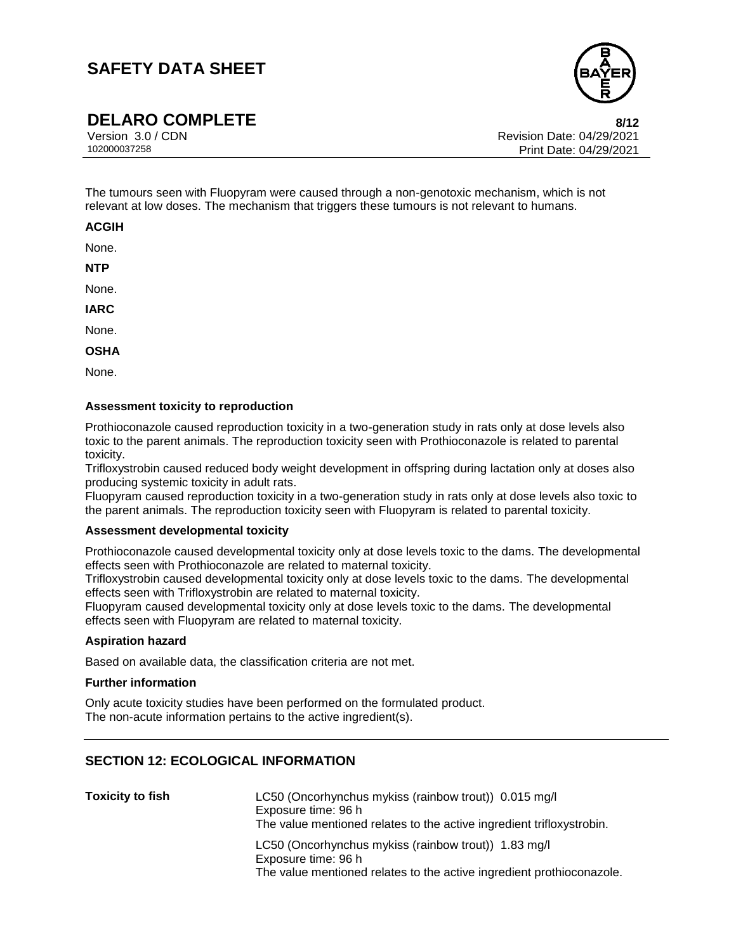

**DELARO COMPLETE**<br>Version 3.0/CDN

Revision Date: 04/29/2021 102000037258 Print Date: 04/29/2021 8/12

The tumours seen with Fluopyram were caused through a non-genotoxic mechanism, which is not relevant at low doses. The mechanism that triggers these tumours is not relevant to humans.

### **ACGIH**

None.

**NTP**

None.

**IARC**

None.

**OSHA**

None.

#### **Assessment toxicity to reproduction**

Prothioconazole caused reproduction toxicity in a two-generation study in rats only at dose levels also toxic to the parent animals. The reproduction toxicity seen with Prothioconazole is related to parental toxicity.

Trifloxystrobin caused reduced body weight development in offspring during lactation only at doses also producing systemic toxicity in adult rats.

Fluopyram caused reproduction toxicity in a two-generation study in rats only at dose levels also toxic to the parent animals. The reproduction toxicity seen with Fluopyram is related to parental toxicity.

#### **Assessment developmental toxicity**

Prothioconazole caused developmental toxicity only at dose levels toxic to the dams. The developmental effects seen with Prothioconazole are related to maternal toxicity.

Trifloxystrobin caused developmental toxicity only at dose levels toxic to the dams. The developmental effects seen with Trifloxystrobin are related to maternal toxicity.

Fluopyram caused developmental toxicity only at dose levels toxic to the dams. The developmental effects seen with Fluopyram are related to maternal toxicity.

#### **Aspiration hazard**

Based on available data, the classification criteria are not met.

#### **Further information**

Only acute toxicity studies have been performed on the formulated product. The non-acute information pertains to the active ingredient(s).

### **SECTION 12: ECOLOGICAL INFORMATION**

| <b>Toxicity to fish</b> | LC50 (Oncorhynchus mykiss (rainbow trout)) 0.015 mg/l<br>Exposure time: 96 h<br>The value mentioned relates to the active ingredient trifloxystrobin. |
|-------------------------|-------------------------------------------------------------------------------------------------------------------------------------------------------|
|                         | LC50 (Oncorhynchus mykiss (rainbow trout)) 1.83 mg/l<br>Exposure time: 96 h<br>The value mentioned relates to the active ingredient prothioconazole.  |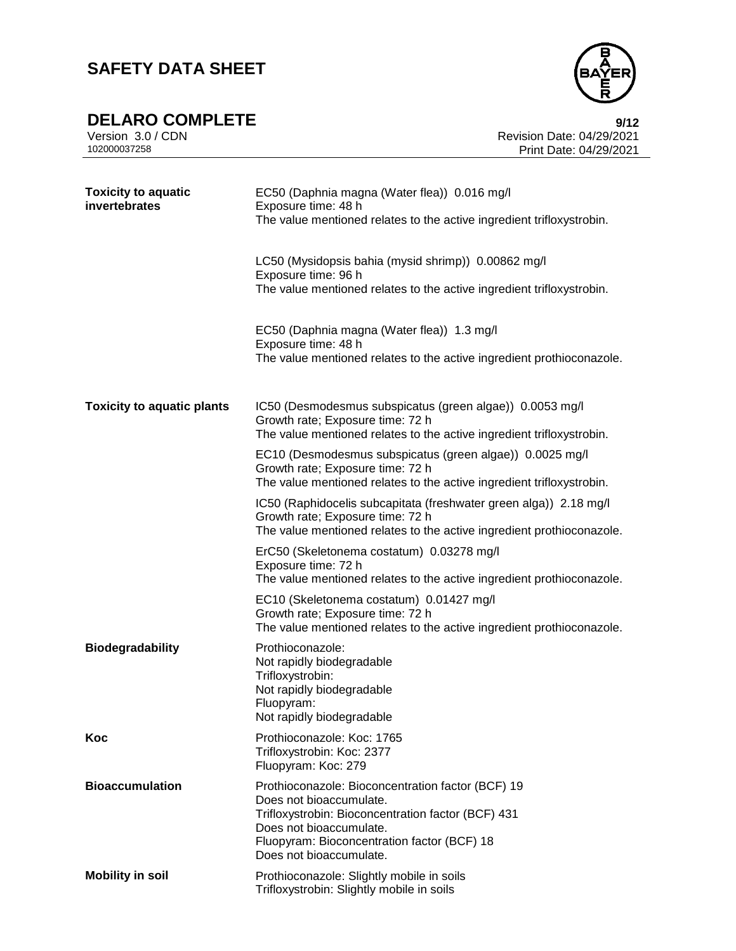**DELARO COMPLETE**<br>Version 3.0/CDN



Version 3.0 / CDN<br>102000037258 Print Date: 04/29/2021<br>Print Date: 04/29/2021 Print Date: 04/29/2021  $9/12$ 

| <b>Toxicity to aquatic</b><br>invertebrates | EC50 (Daphnia magna (Water flea)) 0.016 mg/l<br>Exposure time: 48 h<br>The value mentioned relates to the active ingredient trifloxystrobin.                                                                                            |
|---------------------------------------------|-----------------------------------------------------------------------------------------------------------------------------------------------------------------------------------------------------------------------------------------|
|                                             | LC50 (Mysidopsis bahia (mysid shrimp)) 0.00862 mg/l<br>Exposure time: 96 h<br>The value mentioned relates to the active ingredient trifloxystrobin.                                                                                     |
|                                             | EC50 (Daphnia magna (Water flea)) 1.3 mg/l<br>Exposure time: 48 h<br>The value mentioned relates to the active ingredient prothioconazole.                                                                                              |
| <b>Toxicity to aquatic plants</b>           | IC50 (Desmodesmus subspicatus (green algae)) 0.0053 mg/l<br>Growth rate; Exposure time: 72 h<br>The value mentioned relates to the active ingredient trifloxystrobin.                                                                   |
|                                             | EC10 (Desmodesmus subspicatus (green algae)) 0.0025 mg/l<br>Growth rate; Exposure time: 72 h<br>The value mentioned relates to the active ingredient trifloxystrobin.                                                                   |
|                                             | IC50 (Raphidocelis subcapitata (freshwater green alga)) 2.18 mg/l<br>Growth rate; Exposure time: 72 h<br>The value mentioned relates to the active ingredient prothioconazole.                                                          |
|                                             | ErC50 (Skeletonema costatum) 0.03278 mg/l<br>Exposure time: 72 h<br>The value mentioned relates to the active ingredient prothioconazole.                                                                                               |
|                                             | EC10 (Skeletonema costatum) 0.01427 mg/l<br>Growth rate; Exposure time: 72 h<br>The value mentioned relates to the active ingredient prothioconazole.                                                                                   |
| <b>Biodegradability</b>                     | Prothioconazole:<br>Not rapidly biodegradable<br>Trifloxystrobin:<br>Not rapidly biodegradable<br>Fluopyram:<br>Not rapidly biodegradable                                                                                               |
| Koc                                         | Prothioconazole: Koc: 1765<br>Trifloxystrobin: Koc: 2377<br>Fluopyram: Koc: 279                                                                                                                                                         |
| <b>Bioaccumulation</b>                      | Prothioconazole: Bioconcentration factor (BCF) 19<br>Does not bioaccumulate.<br>Trifloxystrobin: Bioconcentration factor (BCF) 431<br>Does not bioaccumulate.<br>Fluopyram: Bioconcentration factor (BCF) 18<br>Does not bioaccumulate. |
| <b>Mobility in soil</b>                     | Prothioconazole: Slightly mobile in soils<br>Trifloxystrobin: Slightly mobile in soils                                                                                                                                                  |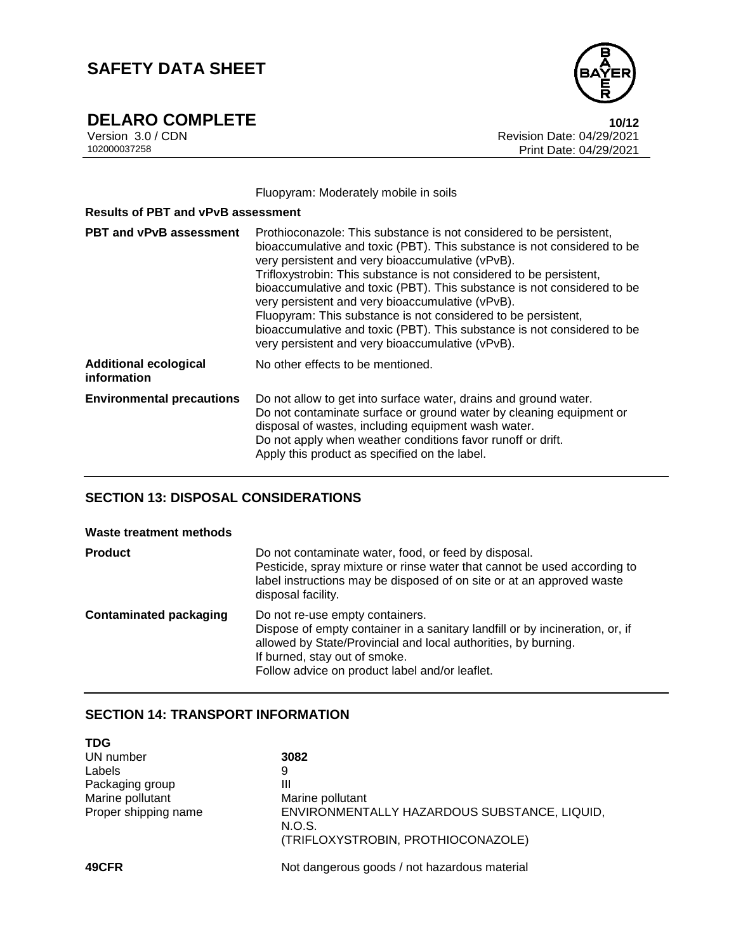**DELARO COMPLETE**<br>Version 3.0/CDN



Version 3.0 / CDN<br>102000037258 Print Date: 04/29/2021<br>Print Date: 04/29/2021 Print Date: 04/29/2021 10/12

Fluopyram: Moderately mobile in soils

| <b>Results of PBT and vPvB assessment</b>   |                                                                                                                                                                                                                                                                                                                                                                                                                                                                                                                                                                                                          |
|---------------------------------------------|----------------------------------------------------------------------------------------------------------------------------------------------------------------------------------------------------------------------------------------------------------------------------------------------------------------------------------------------------------------------------------------------------------------------------------------------------------------------------------------------------------------------------------------------------------------------------------------------------------|
| <b>PBT and vPvB assessment</b>              | Prothioconazole: This substance is not considered to be persistent,<br>bioaccumulative and toxic (PBT). This substance is not considered to be<br>very persistent and very bioaccumulative (vPvB).<br>Trifloxystrobin: This substance is not considered to be persistent,<br>bioaccumulative and toxic (PBT). This substance is not considered to be<br>very persistent and very bioaccumulative (vPvB).<br>Fluopyram: This substance is not considered to be persistent,<br>bioaccumulative and toxic (PBT). This substance is not considered to be<br>very persistent and very bioaccumulative (vPvB). |
| <b>Additional ecological</b><br>information | No other effects to be mentioned.                                                                                                                                                                                                                                                                                                                                                                                                                                                                                                                                                                        |
| <b>Environmental precautions</b>            | Do not allow to get into surface water, drains and ground water.<br>Do not contaminate surface or ground water by cleaning equipment or<br>disposal of wastes, including equipment wash water.<br>Do not apply when weather conditions favor runoff or drift.<br>Apply this product as specified on the label.                                                                                                                                                                                                                                                                                           |

### **SECTION 13: DISPOSAL CONSIDERATIONS**

| Waste treatment methods       |                                                                                                                                                                                                                                                                      |
|-------------------------------|----------------------------------------------------------------------------------------------------------------------------------------------------------------------------------------------------------------------------------------------------------------------|
| <b>Product</b>                | Do not contaminate water, food, or feed by disposal.<br>Pesticide, spray mixture or rinse water that cannot be used according to<br>label instructions may be disposed of on site or at an approved waste<br>disposal facility.                                      |
| <b>Contaminated packaging</b> | Do not re-use empty containers.<br>Dispose of empty container in a sanitary landfill or by incineration, or, if<br>allowed by State/Provincial and local authorities, by burning.<br>If burned, stay out of smoke.<br>Follow advice on product label and/or leaflet. |

### **SECTION 14: TRANSPORT INFORMATION**

| <b>TDG</b>           |                                                        |
|----------------------|--------------------------------------------------------|
| UN number            | 3082                                                   |
| Labels               | 9                                                      |
| Packaging group      | Ш                                                      |
| Marine pollutant     | Marine pollutant                                       |
| Proper shipping name | ENVIRONMENTALLY HAZARDOUS SUBSTANCE, LIQUID,<br>N.O.S. |
|                      | (TRIFLOXYSTROBIN, PROTHIOCONAZOLE)                     |
| 49CFR                | Not dangerous goods / not hazardous material           |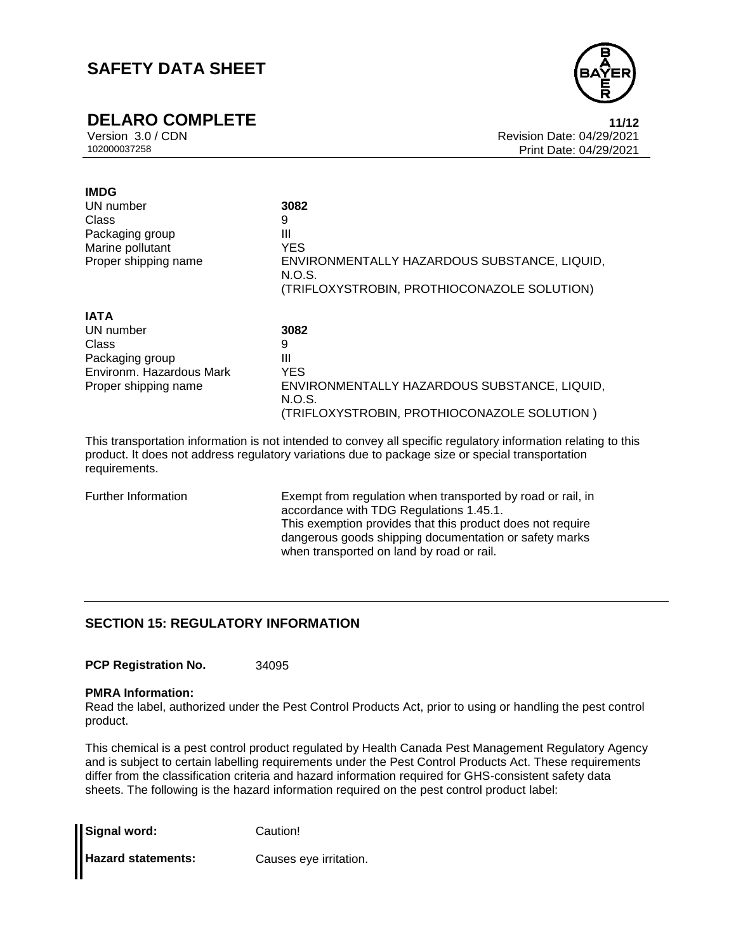# **DELARO COMPLETE**<br>Version 3.0/CDN

**IMDG**



Version 3.0 / CDN<br>102000037258 Print Date: 04/29/2021<br>102000037258 Print Date: 04/29/2021 Print Date: 04/29/2021 11/12

| UN number                | 3082                                                   |
|--------------------------|--------------------------------------------------------|
| Class                    | 9                                                      |
| Packaging group          | Ш                                                      |
| Marine pollutant         | <b>YES</b>                                             |
| Proper shipping name     | ENVIRONMENTALLY HAZARDOUS SUBSTANCE, LIQUID,<br>N.O.S. |
|                          | (TRIFLOXYSTROBIN, PROTHIOCONAZOLE SOLUTION)            |
| <b>IATA</b>              |                                                        |
| UN number                | 3082                                                   |
| Class                    | 9                                                      |
| Packaging group          | Ш                                                      |
| Environm, Hazardous Mark | <b>YES</b>                                             |
| Proper shipping name     | ENVIRONMENTALLY HAZARDOUS SUBSTANCE, LIQUID,<br>N.O.S. |
|                          | (TRIFLOXYSTROBIN, PROTHIOCONAZOLE SOLUTION)            |
|                          |                                                        |

This transportation information is not intended to convey all specific regulatory information relating to this product. It does not address regulatory variations due to package size or special transportation requirements.

Further Information Exempt from regulation when transported by road or rail, in accordance with TDG Regulations 1.45.1. This exemption provides that this product does not require dangerous goods shipping documentation or safety marks when transported on land by road or rail.

### **SECTION 15: REGULATORY INFORMATION**

**PCP Registration No.** 34095

#### **PMRA Information:**

Read the label, authorized under the Pest Control Products Act, prior to using or handling the pest control product.

This chemical is a pest control product regulated by Health Canada Pest Management Regulatory Agency and is subject to certain labelling requirements under the Pest Control Products Act. These requirements differ from the classification criteria and hazard information required for GHS-consistent safety data sheets. The following is the hazard information required on the pest control product label:

| Signal word:              | Caution!               |
|---------------------------|------------------------|
| <b>Hazard statements:</b> | Causes eye irritation. |